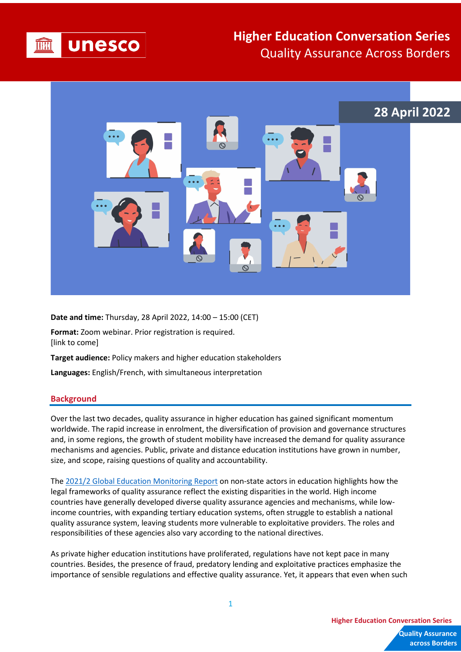

## **Higher Education Conversation Series** Quality Assurance Across Borders



**Date and time:** Thursday, 28 April 2022, 14:00 – 15:00 (CET)

**Format:** Zoom webinar. Prior registration is required. [link to come]

**Target audience:** Policy makers and higher education stakeholders

**Languages:** English/French, with simultaneous interpretation

## **Background**

Over the last two decades, quality assurance in higher education has gained significant momentum worldwide. The rapid increase in enrolment, the diversification of provision and governance structures and, in some regions, the growth of student mobility have increased the demand for quality assurance mechanisms and agencies. Public, private and distance education institutions have grown in number, size, and scope, raising questions of quality and accountability.

Th[e 2021/2 Global Education Monitoring Report](https://en.unesco.org/gem-report/non-state_actors) on non-state actors in education highlights how the legal frameworks of quality assurance reflect the existing disparities in the world. High income countries have generally developed diverse quality assurance agencies and mechanisms, while lowincome countries, with expanding tertiary education systems, often struggle to establish a national quality assurance system, leaving students more vulnerable to exploitative providers. The roles and responsibilities of these agencies also vary according to the national directives.

As private higher education institutions have proliferated, regulations have not kept pace in many countries. Besides, the presence of fraud, predatory lending and exploitative practices emphasize the importance of sensible regulations and effective quality assurance. Yet, it appears that even when such